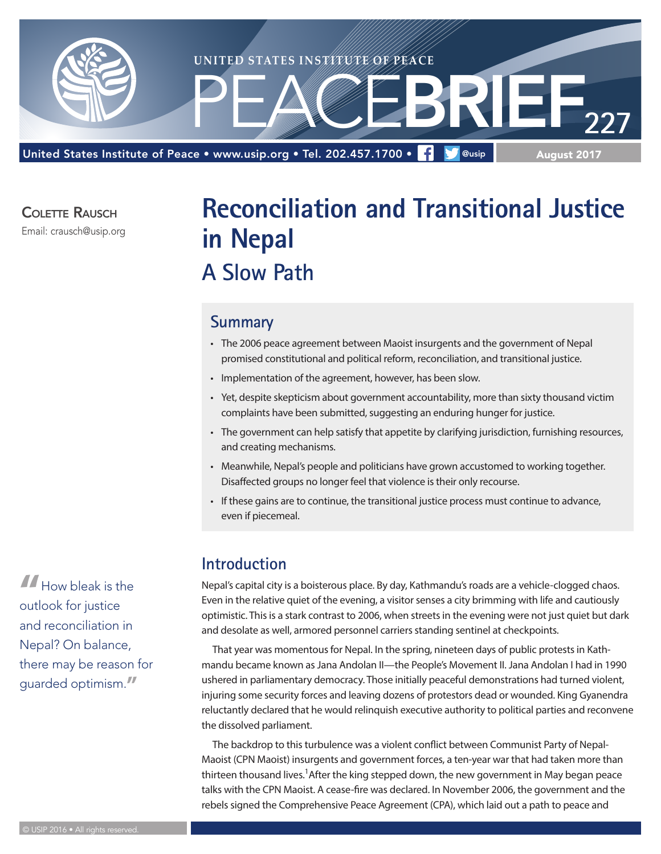

COI FTTF RAUSCH

Email: crausch@usip.org

# **Reconciliation and Transitional Justice in Nepal A Slow Path**

#### **Summary**

- The 2006 peace agreement between Maoist insurgents and the government of Nepal promised constitutional and political reform, reconciliation, and transitional justice.
- Implementation of the agreement, however, has been slow.
- Yet, despite skepticism about government accountability, more than sixty thousand victim complaints have been submitted, suggesting an enduring hunger for justice.
- The government can help satisfy that appetite by clarifying jurisdiction, furnishing resources, and creating mechanisms.
- Meanwhile, Nepal's people and politicians have grown accustomed to working together. Disaffected groups no longer feel that violence is their only recourse.
- If these gains are to continue, the transitional justice process must continue to advance, even if piecemeal.

### **Introduction**

Nepal's capital city is a boisterous place. By day, Kathmandu's roads are a vehicle-clogged chaos. Even in the relative quiet of the evening, a visitor senses a city brimming with life and cautiously optimistic. This is a stark contrast to 2006, when streets in the evening were not just quiet but dark and desolate as well, armored personnel carriers standing sentinel at checkpoints.

That year was momentous for Nepal. In the spring, nineteen days of public protests in Kathmandu became known as Jana Andolan II—the People's Movement II. Jana Andolan I had in 1990 ushered in parliamentary democracy. Those initially peaceful demonstrations had turned violent, injuring some security forces and leaving dozens of protestors dead or wounded. King Gyanendra reluctantly declared that he would relinquish executive authority to political parties and reconvene the dissolved parliament.

The backdrop to this turbulence was a violent conflict between Communist Party of Nepal-Maoist (CPN Maoist) insurgents and government forces, a ten-year war that had taken more than thirteen thousand lives.<sup>1</sup>After the king stepped down, the new government in May began peace talks with the CPN Maoist. A cease-fire was declared. In November 2006, the government and the rebels signed the Comprehensive Peace Agreement (CPA), which laid out a path to peace and

**"**How bleak is the outlook for justice and reconciliation in Nepal? On balance, there may be reason for guarded optimism.**"**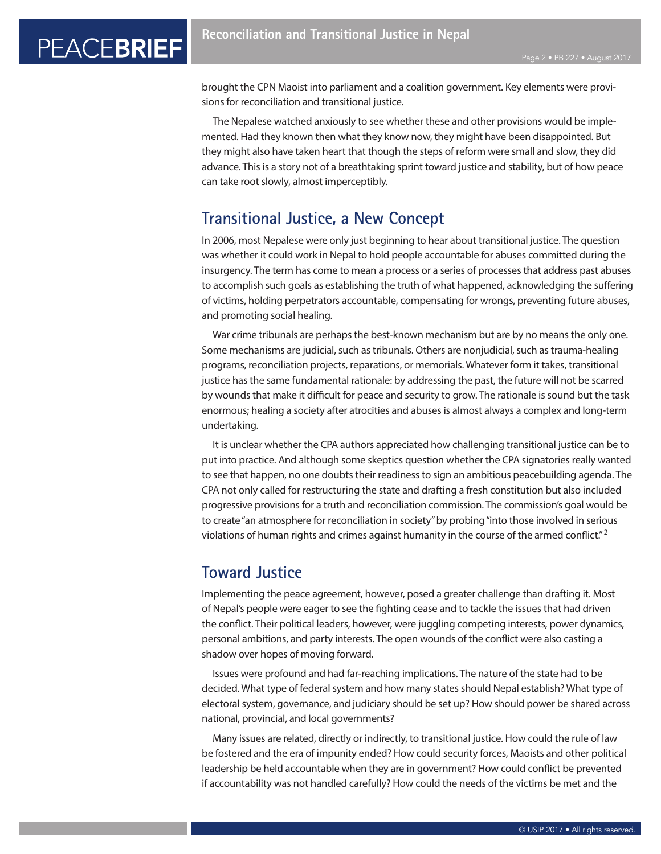brought the CPN Maoist into parliament and a coalition government. Key elements were provisions for reconciliation and transitional justice.

The Nepalese watched anxiously to see whether these and other provisions would be implemented. Had they known then what they know now, they might have been disappointed. But they might also have taken heart that though the steps of reform were small and slow, they did advance. This is a story not of a breathtaking sprint toward justice and stability, but of how peace can take root slowly, almost imperceptibly.

### **Transitional Justice, a New Concept**

In 2006, most Nepalese were only just beginning to hear about transitional justice. The question was whether it could work in Nepal to hold people accountable for abuses committed during the insurgency. The term has come to mean a process or a series of processes that address past abuses to accomplish such goals as establishing the truth of what happened, acknowledging the suffering of victims, holding perpetrators accountable, compensating for wrongs, preventing future abuses, and promoting social healing.

War crime tribunals are perhaps the best-known mechanism but are by no means the only one. Some mechanisms are judicial, such as tribunals. Others are nonjudicial, such as trauma-healing programs, reconciliation projects, reparations, or memorials. Whatever form it takes, transitional justice has the same fundamental rationale: by addressing the past, the future will not be scarred by wounds that make it difficult for peace and security to grow. The rationale is sound but the task enormous; healing a society after atrocities and abuses is almost always a complex and long-term undertaking.

It is unclear whether the CPA authors appreciated how challenging transitional justice can be to put into practice. And although some skeptics question whether the CPA signatories really wanted to see that happen, no one doubts their readiness to sign an ambitious peacebuilding agenda. The CPA not only called for restructuring the state and drafting a fresh constitution but also included progressive provisions for a truth and reconciliation commission. The commission's goal would be to create "an atmosphere for reconciliation in society" by probing "into those involved in serious violations of human rights and crimes against humanity in the course of the armed conflict."<sup>2</sup>

### **Toward Justice**

Implementing the peace agreement, however, posed a greater challenge than drafting it. Most of Nepal's people were eager to see the fighting cease and to tackle the issues that had driven the conflict. Their political leaders, however, were juggling competing interests, power dynamics, personal ambitions, and party interests. The open wounds of the conflict were also casting a shadow over hopes of moving forward.

Issues were profound and had far-reaching implications. The nature of the state had to be decided. What type of federal system and how many states should Nepal establish? What type of electoral system, governance, and judiciary should be set up? How should power be shared across national, provincial, and local governments?

Many issues are related, directly or indirectly, to transitional justice. How could the rule of law be fostered and the era of impunity ended? How could security forces, Maoists and other political leadership be held accountable when they are in government? How could conflict be prevented if accountability was not handled carefully? How could the needs of the victims be met and the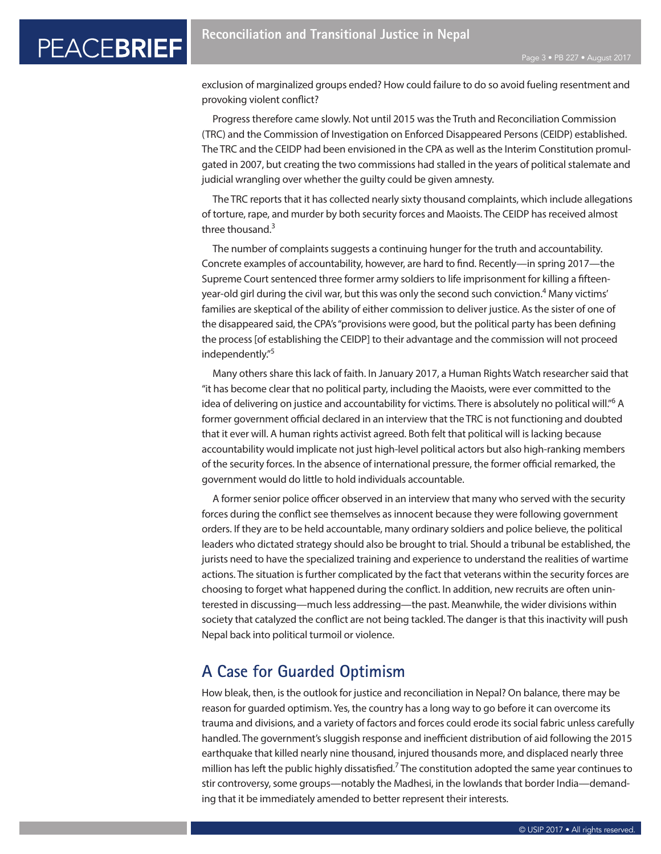exclusion of marginalized groups ended? How could failure to do so avoid fueling resentment and provoking violent conflict?

Progress therefore came slowly. Not until 2015 was the Truth and Reconciliation Commission (TRC) and the Commission of Investigation on Enforced Disappeared Persons (CEIDP) established. The TRC and the CEIDP had been envisioned in the CPA as well as the Interim Constitution promulgated in 2007, but creating the two commissions had stalled in the years of political stalemate and judicial wrangling over whether the guilty could be given amnesty.

The TRC reports that it has collected nearly sixty thousand complaints, which include allegations of torture, rape, and murder by both security forces and Maoists. The CEIDP has received almost three thousand.<sup>3</sup>

The number of complaints suggests a continuing hunger for the truth and accountability. Concrete examples of accountability, however, are hard to find. Recently—in spring 2017—the Supreme Court sentenced three former army soldiers to life imprisonment for killing a fifteenyear-old girl during the civil war, but this was only the second such conviction.<sup>4</sup> Many victims' families are skeptical of the ability of either commission to deliver justice. As the sister of one of the disappeared said, the CPA's "provisions were good, but the political party has been defining the process [of establishing the CEIDP] to their advantage and the commission will not proceed independently."5

Many others share this lack of faith. In January 2017, a Human Rights Watch researcher said that "it has become clear that no political party, including the Maoists, were ever committed to the idea of delivering on justice and accountability for victims. There is absolutely no political will."<sup>6</sup> A former government official declared in an interview that the TRC is not functioning and doubted that it ever will. A human rights activist agreed. Both felt that political will is lacking because accountability would implicate not just high-level political actors but also high-ranking members of the security forces. In the absence of international pressure, the former official remarked, the government would do little to hold individuals accountable.

A former senior police officer observed in an interview that many who served with the security forces during the conflict see themselves as innocent because they were following government orders. If they are to be held accountable, many ordinary soldiers and police believe, the political leaders who dictated strategy should also be brought to trial. Should a tribunal be established, the jurists need to have the specialized training and experience to understand the realities of wartime actions. The situation is further complicated by the fact that veterans within the security forces are choosing to forget what happened during the conflict. In addition, new recruits are often uninterested in discussing—much less addressing—the past. Meanwhile, the wider divisions within society that catalyzed the conflict are not being tackled. The danger is that this inactivity will push Nepal back into political turmoil or violence.

### **A Case for Guarded Optimism**

How bleak, then, is the outlook for justice and reconciliation in Nepal? On balance, there may be reason for guarded optimism. Yes, the country has a long way to go before it can overcome its trauma and divisions, and a variety of factors and forces could erode its social fabric unless carefully handled. The government's sluggish response and inefficient distribution of aid following the 2015 earthquake that killed nearly nine thousand, injured thousands more, and displaced nearly three million has left the public highly dissatisfied.<sup>7</sup> The constitution adopted the same year continues to stir controversy, some groups—notably the Madhesi, in the lowlands that border India—demanding that it be immediately amended to better represent their interests.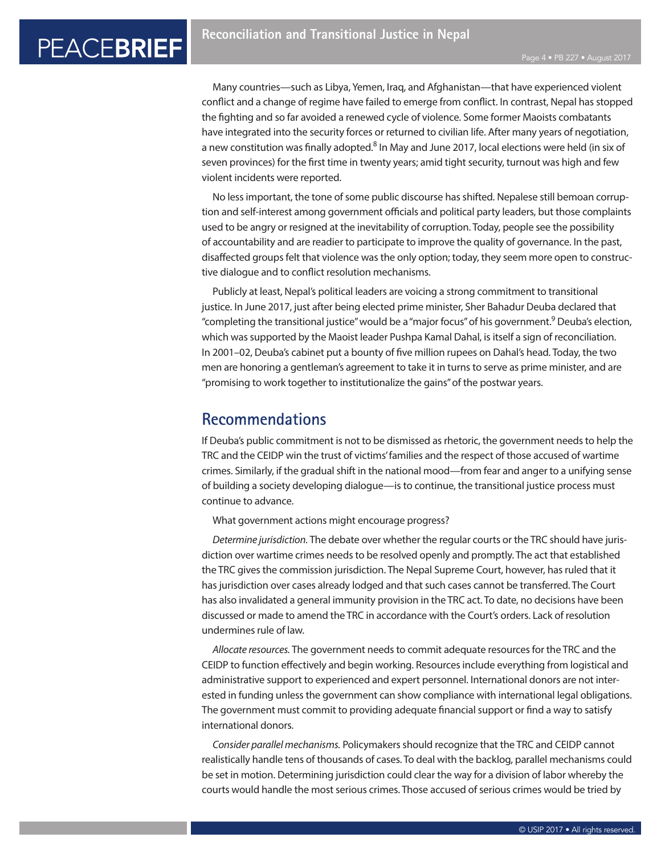Many countries—such as Libya, Yemen, Iraq, and Afghanistan—that have experienced violent conflict and a change of regime have failed to emerge from conflict. In contrast, Nepal has stopped the fighting and so far avoided a renewed cycle of violence. Some former Maoists combatants have integrated into the security forces or returned to civilian life. After many years of negotiation, a new constitution was finally adopted.<sup>8</sup> In May and June 2017, local elections were held (in six of seven provinces) for the first time in twenty years; amid tight security, turnout was high and few violent incidents were reported.

No less important, the tone of some public discourse has shifted. Nepalese still bemoan corruption and self-interest among government officials and political party leaders, but those complaints used to be angry or resigned at the inevitability of corruption. Today, people see the possibility of accountability and are readier to participate to improve the quality of governance. In the past, disaffected groups felt that violence was the only option; today, they seem more open to constructive dialogue and to conflict resolution mechanisms.

Publicly at least, Nepal's political leaders are voicing a strong commitment to transitional justice. In June 2017, just after being elected prime minister, Sher Bahadur Deuba declared that "completing the transitional justice" would be a "major focus" of his government.<sup>9</sup> Deuba's election, which was supported by the Maoist leader Pushpa Kamal Dahal, is itself a sign of reconciliation. In 2001–02, Deuba's cabinet put a bounty of five million rupees on Dahal's head. Today, the two men are honoring a gentleman's agreement to take it in turns to serve as prime minister, and are "promising to work together to institutionalize the gains" of the postwar years.

#### **Recommendations**

If Deuba's public commitment is not to be dismissed as rhetoric, the government needs to help the TRC and the CEIDP win the trust of victims' families and the respect of those accused of wartime crimes. Similarly, if the gradual shift in the national mood—from fear and anger to a unifying sense of building a society developing dialogue—is to continue, the transitional justice process must continue to advance.

What government actions might encourage progress?

*Determine jurisdiction.* The debate over whether the regular courts or the TRC should have jurisdiction over wartime crimes needs to be resolved openly and promptly. The act that established the TRC gives the commission jurisdiction. The Nepal Supreme Court, however, has ruled that it has jurisdiction over cases already lodged and that such cases cannot be transferred. The Court has also invalidated a general immunity provision in the TRC act. To date, no decisions have been discussed or made to amend the TRC in accordance with the Court's orders. Lack of resolution undermines rule of law.

*Allocate resources.* The government needs to commit adequate resources for the TRC and the CEIDP to function effectively and begin working. Resources include everything from logistical and administrative support to experienced and expert personnel. International donors are not interested in funding unless the government can show compliance with international legal obligations. The government must commit to providing adequate financial support or find a way to satisfy international donors.

*Consider parallel mechanisms.* Policymakers should recognize that the TRC and CEIDP cannot realistically handle tens of thousands of cases. To deal with the backlog, parallel mechanisms could be set in motion. Determining jurisdiction could clear the way for a division of labor whereby the courts would handle the most serious crimes. Those accused of serious crimes would be tried by